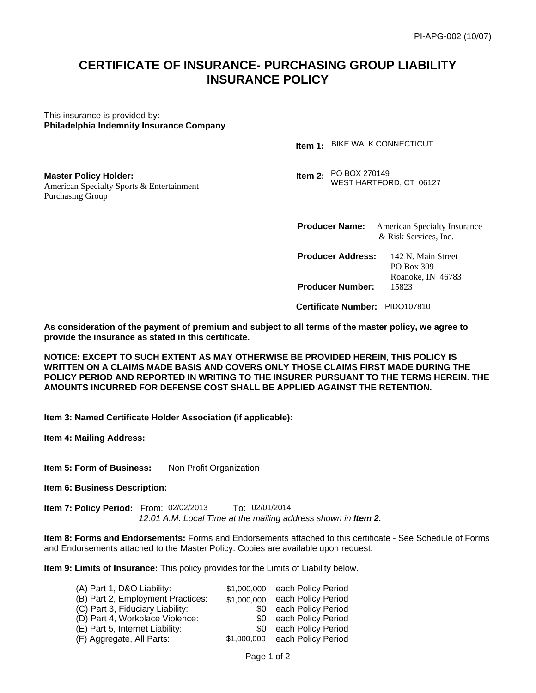# **CERTIFICATE OF INSURANCE- PURCHASING GROUP LIABILITY INSURANCE POLICY**

This insurance is provided by: **Philadelphia Indemnity Insurance Company** 

American Specialty Sports & Entertainment

**Master Policy Holder:** 

Purchasing Group

**1. Item 1: Item 1: Item 1:** Item 1: BIKE WALK CONNECTICUT

> **Item 2:** PO BOX 270149 WEST HARTFORD, CT 06127

**Producer Name:** American Specialty Insurance & Risk Services, Inc.

**Producer Address:** 142 N. Main Street PO Box 309 Roanoke, IN 46783 **Producer Number:** 15823

 **Certificate Number:** 

**As consideration of the payment of premium and subject to all terms of the master policy, we agree to provide the insurance as stated in this certificate.** 

**NOTICE: EXCEPT TO SUCH EXTENT AS MAY OTHERWISE BE PROVIDED HEREIN, THIS POLICY IS WRITTEN ON A CLAIMS MADE BASIS AND COVERS ONLY THOSE CLAIMS FIRST MADE DURING THE POLICY PERIOD AND REPORTED IN WRITING TO THE INSURER PURSUANT TO THE TERMS HEREIN. THE AMOUNTS INCURRED FOR DEFENSE COST SHALL BE APPLIED AGAINST THE RETENTION.**  Certificate Number: PIDO107810<br>
im and subject to all terms of the master policy, we<br>
tificate.<br>
AY OTHERWISE BE PROVIDED HEREIN, THIS POL<br>
DIO COVERS ONLY THOSE CLAIMS FIRST MADE DUI<br>
ING TO THE INSURER PURSUANT TO THE TE

**Item 3: Named Certificate Holder Association (if applicable):** 

**Item 4: Mailing Address:** 

**Item 5: Form of Business:** Non Profit Organization

**Item 6: Business Description:** 

**Item 7: Policy Period:** From: 02/02/2013 To: 12:01 A.M. Local Time at the mailing address shown in **Item 2.** 

**Item 8: Forms and Endorsements:** Forms and Endorsements attached to this certificate - See Schedule of Forms and Endorsements attached to the Master Policy. Copies are available upon request.

**Item 9: Limits of Insurance:** This policy provides for the Limits of Liability below.

| (A) Part 1, D&O Liability:        | \$1,000,000 | each Policy Period             |
|-----------------------------------|-------------|--------------------------------|
| (B) Part 2, Employment Practices: | \$1,000,000 | each Policy Period             |
| (C) Part 3, Fiduciary Liability:  | \$0         | each Policy Period             |
| (D) Part 4, Workplace Violence:   |             | \$0 each Policy Period         |
| (E) Part 5, Internet Liability:   |             | \$0 each Policy Period         |
| (F) Aggregate, All Parts:         |             | \$1,000,000 each Policy Period |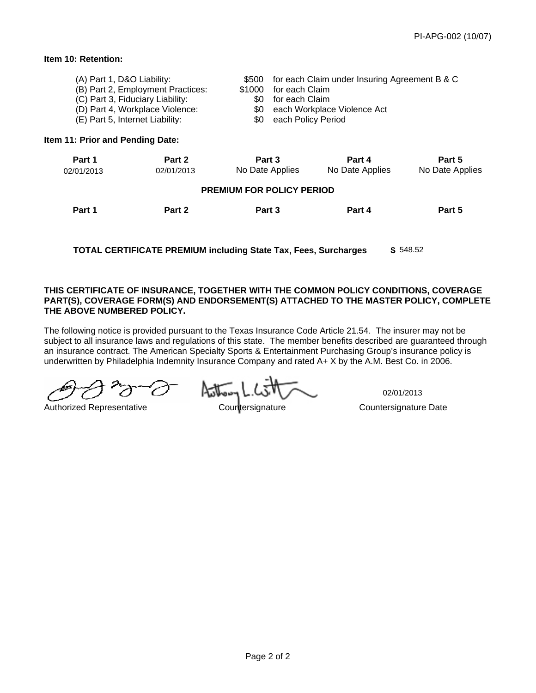# **Item 10: Retention:**

| (A) Part 1, D&O Liability:<br>(B) Part 2, Employment Practices: | \$500 for each Claim under Insuring Agreement B & C<br>\$1000 for each Claim |
|-----------------------------------------------------------------|------------------------------------------------------------------------------|
| (C) Part 3, Fiduciary Liability:                                | \$0 for each Claim                                                           |
| (D) Part 4, Workplace Violence:                                 | \$0 each Workplace Violence Act                                              |
| (E) Part 5, Internet Liability:                                 | \$0 each Policy Period                                                       |

### **Item 11: Prior and Pending Date:**

| Part 1                                                                             | Part 2     | Part 3                                                                                                                                                                                                                                                                                                                                                                                                                                  | Part 4          | Part 5          |  |  |
|------------------------------------------------------------------------------------|------------|-----------------------------------------------------------------------------------------------------------------------------------------------------------------------------------------------------------------------------------------------------------------------------------------------------------------------------------------------------------------------------------------------------------------------------------------|-----------------|-----------------|--|--|
| 02/01/2013                                                                         | 02/01/2013 | No Date Applies                                                                                                                                                                                                                                                                                                                                                                                                                         | No Date Applies | No Date Applies |  |  |
| <b>PREMIUM FOR POLICY PERIOD</b>                                                   |            |                                                                                                                                                                                                                                                                                                                                                                                                                                         |                 |                 |  |  |
| Part 1                                                                             | Part 2     | Part 3                                                                                                                                                                                                                                                                                                                                                                                                                                  | Part 4          | Part 5          |  |  |
|                                                                                    |            |                                                                                                                                                                                                                                                                                                                                                                                                                                         |                 |                 |  |  |
| \$548.52<br><b>TOTAL CERTIFICATE PREMIUM including State Tax, Fees, Surcharges</b> |            |                                                                                                                                                                                                                                                                                                                                                                                                                                         |                 |                 |  |  |
|                                                                                    |            |                                                                                                                                                                                                                                                                                                                                                                                                                                         |                 |                 |  |  |
|                                                                                    |            | <b>CERTIFICATE OF INSURANCE, TOGETHER WITH THE COMMON POLICY CONDITIONS, COVERAGE I</b>                                                                                                                                                                                                                                                                                                                                                 |                 |                 |  |  |
| <b>ABOVE NUMBERED POLICY.</b>                                                      |            | T(S), COVERAGE FORM(S) AND ENDORSEMENT(S) ATTACHED TO THE MASTER POLICY, COMPLET                                                                                                                                                                                                                                                                                                                                                        |                 |                 |  |  |
|                                                                                    |            | following notice is provided pursuant to the Texas Insurance Code Article 21.54. The insurer may not be<br>ect to all insurance laws and regulations of this state. The member benefits described are guaranteed througl<br>surance contract. The American Specialty Sports & Entertainment Purchasing Group's insurance policy is<br>rwritten by Philadelphia Indemnity Insurance Company and rated A+ X by the A.M. Best Co. in 2006. |                 |                 |  |  |
|                                                                                    |            |                                                                                                                                                                                                                                                                                                                                                                                                                                         | 02/01/2013      |                 |  |  |

#### **THIS CERTIFICATE OF INSURANCE, TOGETHER WITH THE COMMON POLICY CONDITIONS, COVERAGE PART(S), COVERAGE FORM(S) AND ENDORSEMENT(S) ATTACHED TO THE MASTER POLICY, COMPLETE THE ABOVE NUMBERED POLICY.**

The following notice is provided pursuant to the Texas Insurance Code Article 21.54. The insurer may not be subject to all insurance laws and regulations of this state. The member benefits described are guaranteed through an insurance contract. The American Specialty Sports & Entertainment Purchasing Group's insurance policy is underwritten by Philadelphia Indemnity Insurance Company and rated A+ X by the A.M. Best Co. in 2006.

Authorized Representative Countersignature Countersignature Date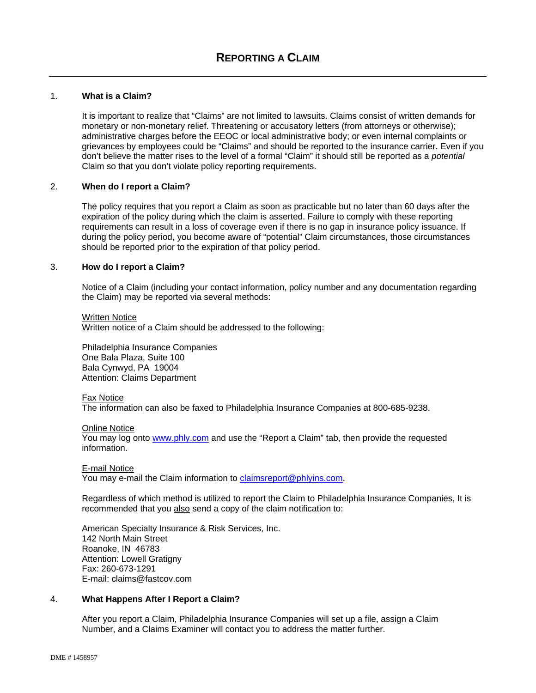# 1. **What is a Claim?**

It is important to realize that "Claims" are not limited to lawsuits. Claims consist of written demands for monetary or non-monetary relief. Threatening or accusatory letters (from attorneys or otherwise); administrative charges before the EEOC or local administrative body; or even internal complaints or grievances by employees could be "Claims" and should be reported to the insurance carrier. Even if you don't believe the matter rises to the level of a formal "Claim" it should still be reported as a *potential*  Claim so that you don't violate policy reporting requirements.

#### 2. **When do I report a Claim?**

The policy requires that you report a Claim as soon as practicable but no later than 60 days after the expiration of the policy during which the claim is asserted. Failure to comply with these reporting requirements can result in a loss of coverage even if there is no gap in insurance policy issuance. If during the policy period, you become aware of "potential" Claim circumstances, those circumstances should be reported prior to the expiration of that policy period.

#### 3. **How do I report a Claim?**

Notice of a Claim (including your contact information, policy number and any documentation regarding the Claim) may be reported via several methods:

Written Notice Written notice of a Claim should be addressed to the following:

Philadelphia Insurance Companies One Bala Plaza, Suite 100 Bala Cynwyd, PA 19004 Attention: Claims Department

#### Fax Notice

The information can also be faxed to Philadelphia Insurance Companies at 800-685-9238.

#### Online Notice

You may log onto www.phly.com and use the "Report a Claim" tab, then provide the requested information.

#### E-mail Notice

You may e-mail the Claim information to claimsreport@phlyins.com.

Regardless of which method is utilized to report the Claim to Philadelphia Insurance Companies, It is recommended that you also send a copy of the claim notification to:

American Specialty Insurance & Risk Services, Inc. 142 North Main Street Roanoke, IN 46783 Attention: Lowell Gratigny Fax: 260-673-1291 E-mail: claims@fastcov.com

#### 4. **What Happens After I Report a Claim?**

After you report a Claim, Philadelphia Insurance Companies will set up a file, assign a Claim Number, and a Claims Examiner will contact you to address the matter further.